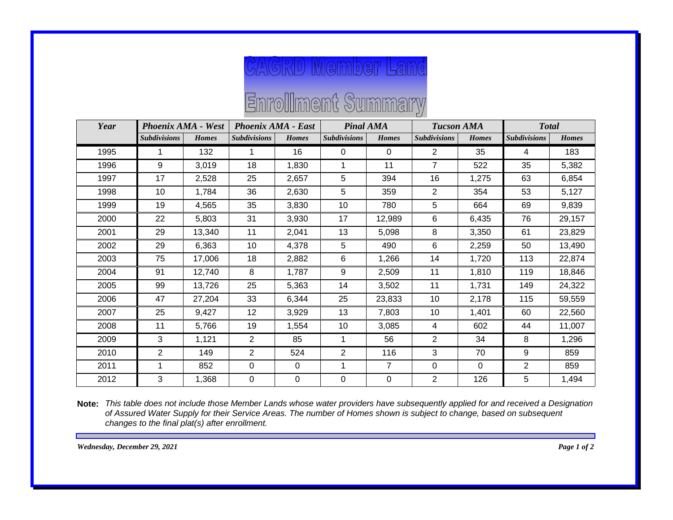## **CAGRD Member Land**

## Enrollment Summary

| Year | <b>Phoenix AMA - West</b> |              | <b>Phoenix AMA - East</b> |              | <b>Pinal AMA</b>    |                | <b>Tucson AMA</b>   |              | <b>Total</b>        |              |
|------|---------------------------|--------------|---------------------------|--------------|---------------------|----------------|---------------------|--------------|---------------------|--------------|
|      | <b>Subdivisions</b>       | <b>Homes</b> | <b>Subdivisions</b>       | <b>Homes</b> | <b>Subdivisions</b> | <b>Homes</b>   | <b>Subdivisions</b> | <b>Homes</b> | <b>Subdivisions</b> | <b>Homes</b> |
| 1995 |                           | 132          |                           | 16           | 0                   | $\Omega$       | $\overline{2}$      | 35           | 4                   | 183          |
| 1996 | 9                         | 3,019        | 18                        | 1,830        | 1                   | 11             | $\overline{7}$      | 522          | 35                  | 5,382        |
| 1997 | 17                        | 2,528        | 25                        | 2,657        | 5                   | 394            | 16                  | 1,275        | 63                  | 6,854        |
| 1998 | 10                        | 1,784        | 36                        | 2,630        | 5                   | 359            | 2                   | 354          | 53                  | 5,127        |
| 1999 | 19                        | 4,565        | 35                        | 3,830        | 10                  | 780            | 5                   | 664          | 69                  | 9,839        |
| 2000 | 22                        | 5,803        | 31                        | 3,930        | 17                  | 12,989         | 6                   | 6,435        | 76                  | 29,157       |
| 2001 | 29                        | 13,340       | 11                        | 2,041        | 13                  | 5,098          | 8                   | 3,350        | 61                  | 23,829       |
| 2002 | 29                        | 6,363        | 10                        | 4,378        | 5                   | 490            | 6                   | 2,259        | 50                  | 13,490       |
| 2003 | 75                        | 17,006       | 18                        | 2,882        | 6                   | 1,266          | 14                  | 1,720        | 113                 | 22,874       |
| 2004 | 91                        | 12,740       | 8                         | 1,787        | 9                   | 2,509          | 11                  | 1,810        | 119                 | 18,846       |
| 2005 | 99                        | 13,726       | 25                        | 5,363        | 14                  | 3,502          | 11                  | 1,731        | 149                 | 24,322       |
| 2006 | 47                        | 27,204       | 33                        | 6,344        | 25                  | 23,833         | 10                  | 2,178        | 115                 | 59,559       |
| 2007 | 25                        | 9,427        | 12                        | 3,929        | 13                  | 7,803          | 10                  | 1,401        | 60                  | 22,560       |
| 2008 | 11                        | 5,766        | 19                        | 1,554        | 10                  | 3,085          | 4                   | 602          | 44                  | 11,007       |
| 2009 | 3                         | 1,121        | 2                         | 85           | 1                   | 56             | 2                   | 34           | 8                   | 1,296        |
| 2010 | 2                         | 149          | $\overline{2}$            | 524          | $\overline{2}$      | 116            | 3                   | 70           | 9                   | 859          |
| 2011 | 1                         | 852          | $\mathbf 0$               | $\mathbf 0$  | 1                   | $\overline{7}$ | $\mathbf 0$         | $\Omega$     | $\overline{2}$      | 859          |
| 2012 | 3                         | 1,368        | 0                         | 0            | $\mathbf 0$         | $\Omega$       | $\overline{2}$      | 126          | 5                   | 1,494        |

*This table does not include those Member Lands whose water providers have subsequently applied for and received a Designation*  **Note:***of Assured Water Supply for their Service Areas. The number of Homes shown is subject to change, based on subsequent changes to the final plat(s) after enrollment.*

*Wednesday, December 29, 2021 Page 1 of 2*